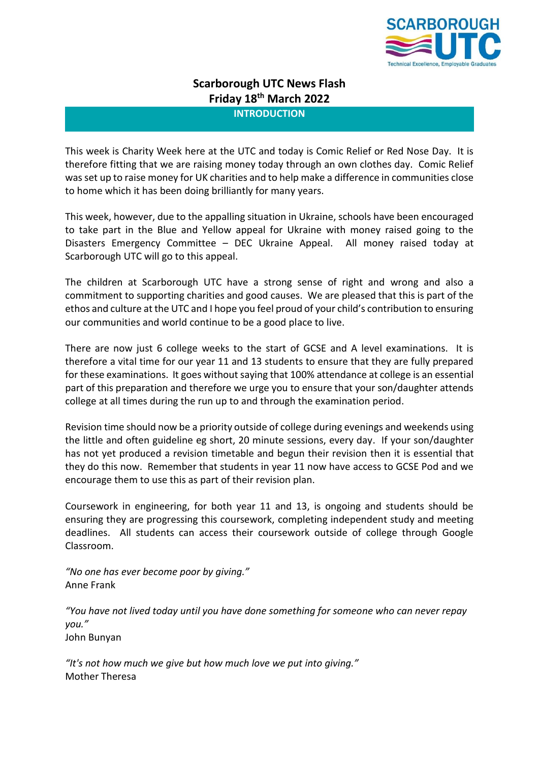

# **Scarborough UTC News Flash Friday 18 th March 2022**

**INTRODUCTION**

This week is Charity Week here at the UTC and today is Comic Relief or Red Nose Day. It is therefore fitting that we are raising money today through an own clothes day. Comic Relief was set up to raise money for UK charities and to help make a difference in communities close to home which it has been doing brilliantly for many years.

This week, however, due to the appalling situation in Ukraine, schools have been encouraged to take part in the Blue and Yellow appeal for Ukraine with money raised going to the Disasters Emergency Committee – DEC Ukraine Appeal. All money raised today at Scarborough UTC will go to this appeal.

The children at Scarborough UTC have a strong sense of right and wrong and also a commitment to supporting charities and good causes. We are pleased that this is part of the ethos and culture at the UTC and I hope you feel proud of your child's contribution to ensuring our communities and world continue to be a good place to live.

There are now just 6 college weeks to the start of GCSE and A level examinations. It is therefore a vital time for our year 11 and 13 students to ensure that they are fully prepared for these examinations. It goes without saying that 100% attendance at college is an essential part of this preparation and therefore we urge you to ensure that your son/daughter attends college at all times during the run up to and through the examination period.

Revision time should now be a priority outside of college during evenings and weekends using the little and often guideline eg short, 20 minute sessions, every day. If your son/daughter has not yet produced a revision timetable and begun their revision then it is essential that they do this now. Remember that students in year 11 now have access to GCSE Pod and we encourage them to use this as part of their revision plan.

Coursework in engineering, for both year 11 and 13, is ongoing and students should be ensuring they are progressing this coursework, completing independent study and meeting deadlines. All students can access their coursework outside of college through Google Classroom.

*"No one has ever become poor by giving."* Anne Frank

*"You have not lived today until you have done something for someone who can never repay you."* John Bunyan

*"It's not how much we give but how much love we put into giving."* Mother Theresa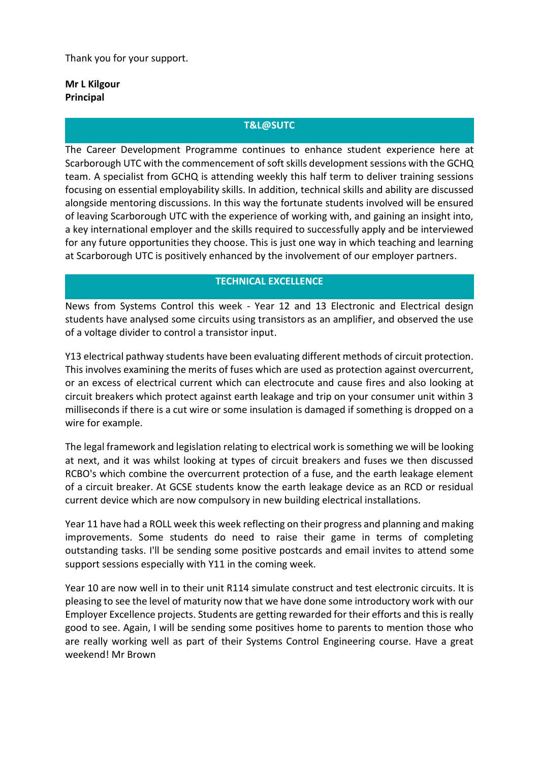Thank you for your support.

# **Mr L Kilgour Principal**

## **T&L@SUTC**

The Career Development Programme continues to enhance student experience here at Scarborough UTC with the commencement of soft skills development sessions with the GCHQ team. A specialist from GCHQ is attending weekly this half term to deliver training sessions focusing on essential employability skills. In addition, technical skills and ability are discussed alongside mentoring discussions. In this way the fortunate students involved will be ensured of leaving Scarborough UTC with the experience of working with, and gaining an insight into, a key international employer and the skills required to successfully apply and be interviewed for any future opportunities they choose. This is just one way in which teaching and learning at Scarborough UTC is positively enhanced by the involvement of our employer partners.

## **TECHNICAL EXCELLENCE**

News from Systems Control this week - Year 12 and 13 Electronic and Electrical design students have analysed some circuits using transistors as an amplifier, and observed the use of a voltage divider to control a transistor input.

Y13 electrical pathway students have been evaluating different methods of circuit protection. This involves examining the merits of fuses which are used as protection against overcurrent, or an excess of electrical current which can electrocute and cause fires and also looking at circuit breakers which protect against earth leakage and trip on your consumer unit within 3 milliseconds if there is a cut wire or some insulation is damaged if something is dropped on a wire for example.

The legal framework and legislation relating to electrical work is something we will be looking at next, and it was whilst looking at types of circuit breakers and fuses we then discussed RCBO's which combine the overcurrent protection of a fuse, and the earth leakage element of a circuit breaker. At GCSE students know the earth leakage device as an RCD or residual current device which are now compulsory in new building electrical installations.

Year 11 have had a ROLL week this week reflecting on their progress and planning and making improvements. Some students do need to raise their game in terms of completing outstanding tasks. I'll be sending some positive postcards and email invites to attend some support sessions especially with Y11 in the coming week.

Year 10 are now well in to their unit R114 simulate construct and test electronic circuits. It is pleasing to see the level of maturity now that we have done some introductory work with our Employer Excellence projects. Students are getting rewarded for their efforts and this is really good to see. Again, I will be sending some positives home to parents to mention those who are really working well as part of their Systems Control Engineering course. Have a great weekend! Mr Brown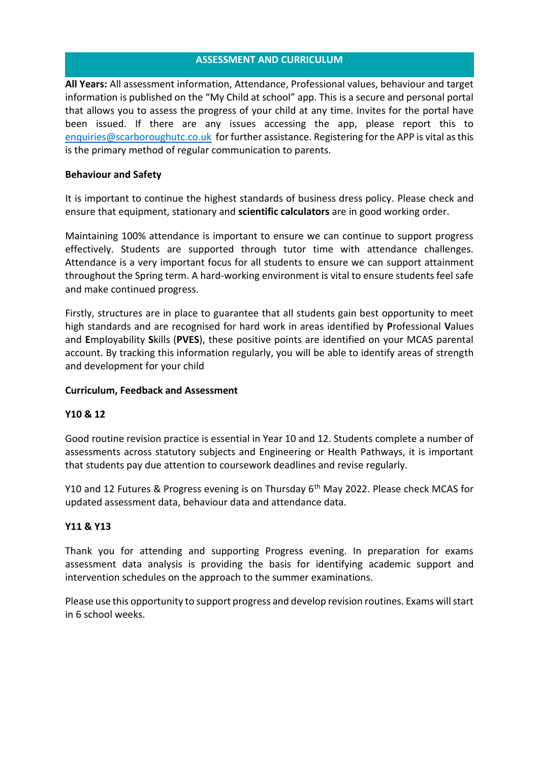## **ASSESSMENT AND CURRICULUM**

**All Years:** All assessment information, Attendance, Professional values, behaviour and target information is published on the "My Child at school" app. This is a secure and personal portal that allows you to assess the progress of your child at any time. Invites for the portal have been issued. If there are any issues accessing the app, please report this to [enquiries@scarboroughutc.co.uk](mailto:enquiries@scarboroughutc.co.uk) for further assistance. Registering for the APP is vital as this is the primary method of regular communication to parents.

## **Behaviour and Safety**

It is important to continue the highest standards of business dress policy. Please check and ensure that equipment, stationary and **scientific calculators** are in good working order.

Maintaining 100% attendance is important to ensure we can continue to support progress effectively. Students are supported through tutor time with attendance challenges. Attendance is a very important focus for all students to ensure we can support attainment throughout the Spring term. A hard-working environment is vital to ensure students feel safe and make continued progress.

Firstly, structures are in place to guarantee that all students gain best opportunity to meet high standards and are recognised for hard work in areas identified by **P**rofessional **V**alues and **E**mployability **S**kills (**PVES**), these positive points are identified on your MCAS parental account. By tracking this information regularly, you will be able to identify areas of strength and development for your child

## **Curriculum, Feedback and Assessment**

## **Y10 & 12**

Good routine revision practice is essential in Year 10 and 12. Students complete a number of assessments across statutory subjects and Engineering or Health Pathways, it is important that students pay due attention to coursework deadlines and revise regularly.

Y10 and 12 Futures & Progress evening is on Thursday 6<sup>th</sup> May 2022. Please check MCAS for updated assessment data, behaviour data and attendance data.

## **Y11 & Y13**

Thank you for attending and supporting Progress evening. In preparation for exams assessment data analysis is providing the basis for identifying academic support and intervention schedules on the approach to the summer examinations.

Please use this opportunity to support progress and develop revision routines. Exams will start in 6 school weeks.